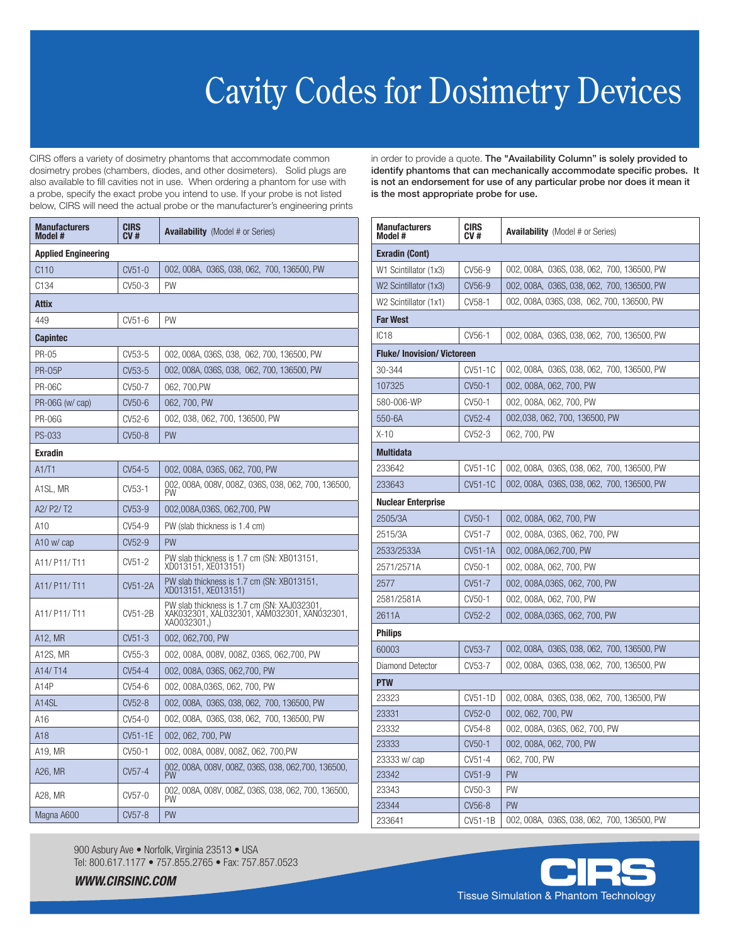## Cavity Codes for Dosimetry Devices

CIRS offers a variety of dosimetry phantoms that accommodate common dosimetry probes (chambers, diodes, and other dosimeters). Solid plugs are also available to fill cavities not in use. When ordering a phantom for use with a probe, specify the exact probe you intend to use. If your probe is not listed below, CIRS will need the actual probe or the manufacturer's engineering prints

| Manufacturers<br>Model #   | <b>CIRS</b><br>CV#  | <b>Availability</b> (Model # or Series)                                                                  |  |  |
|----------------------------|---------------------|----------------------------------------------------------------------------------------------------------|--|--|
| <b>Applied Engineering</b> |                     |                                                                                                          |  |  |
| C110                       | $CV51-0$            | 002, 008A, 036S, 038, 062, 700, 136500, PW                                                               |  |  |
| C <sub>134</sub>           | CV50-3              | PW                                                                                                       |  |  |
| Attix                      |                     |                                                                                                          |  |  |
| 449                        | CV51-6              | PW                                                                                                       |  |  |
| <b>Capintec</b>            |                     |                                                                                                          |  |  |
| <b>PR-05</b>               | CV53-5              | 002, 008A, 036S, 038, 062, 700, 136500, PW                                                               |  |  |
| <b>PR-05P</b>              | CV <sub>53</sub> -5 | 002, 008A, 036S, 038, 062, 700, 136500, PW                                                               |  |  |
| <b>PR-06C</b>              | CV50-7              | 062, 700, PW                                                                                             |  |  |
| PR-06G (w/ cap)            | CV50-6              | 062, 700, PW                                                                                             |  |  |
| PR-06G                     | CV52-6              | 002, 038, 062, 700, 136500, PW                                                                           |  |  |
| PS-033                     | CV50-8              | PW                                                                                                       |  |  |
| <b>Exradin</b>             |                     |                                                                                                          |  |  |
| A1/T1                      | CV54-5              | 002, 008A, 036S, 062, 700, PW                                                                            |  |  |
| A1SL, MR                   | CV53-1              | 002, 008A, 008V, 008Z, 036S, 038, 062, 700, 136500,<br>PW                                                |  |  |
| A2/P2/T2                   | CV <sub>53</sub> -9 | 002,008A,036S, 062,700, PW                                                                               |  |  |
| A10                        | CV54-9              | PW (slab thickness is 1.4 cm)                                                                            |  |  |
| A10 w/ cap                 | CV <sub>52</sub> -9 | PW                                                                                                       |  |  |
| A11/ P11/ T11              | CV51-2              | PW slab thickness is 1.7 cm (SN: XB013151,<br>XD013151, XE013151)                                        |  |  |
| A11/ P11/ T11              | CV51-2A             | PW slab thickness is 1.7 cm (SN: XB013151,<br>XD013151, XE013151)                                        |  |  |
| A11/ P11/ T11              | CV51-2B             | PW slab thickness is 1.7 cm (SN: XAJ032301<br>XAK032301, XAL032301, XAM032301, XAN032301,<br>XA0032301.) |  |  |
| A12, MR                    | $CV51-3$            | 002, 062, 700, PW                                                                                        |  |  |
| A12S, MR                   | CV55-3              | 002, 008A, 008V, 008Z, 036S, 062,700, PW                                                                 |  |  |
| A14/T14                    | CV54-4              | 002, 008A, 036S, 062,700, PW                                                                             |  |  |
| A14P                       | CV54-6              | 002, 008A,036S, 062, 700, PW                                                                             |  |  |
| A14SL                      | CV52-8              | 002, 008A, 036S, 038, 062, 700, 136500, PW                                                               |  |  |
| A16                        | CV54-0              | 002, 008A, 036S, 038, 062, 700, 136500, PW                                                               |  |  |
| A18                        | CV51-1E             | 002, 062, 700, PW                                                                                        |  |  |
| A19. MR                    | CV50-1              | 002, 008A, 008V, 008Z, 062, 700, PW                                                                      |  |  |
| A26, MR                    | CV57-4              | 002, 008A, 008V, 008Z, 036S, 038, 062,700, 136500,<br><b>PW</b>                                          |  |  |
| A28, MR                    | CV57-0              | 002, 008A, 008V, 008Z, 036S, 038, 062, 700, 136500,<br>PW                                                |  |  |
| Magna A600                 | CV57-8              | <b>PW</b>                                                                                                |  |  |

in order to provide a quote. The "Availability Column" is solely provided to identify phantoms that can mechanically accommodate specific probes. It is not an endorsement for use of any particular probe nor does it mean it is the most appropriate probe for use.

| <b>Manufacturers</b><br>Model #  | <b>CIRS</b><br>CV#  | <b>Availability</b> (Model # or Series)    |  |  |
|----------------------------------|---------------------|--------------------------------------------|--|--|
| <b>Exradin (Cont)</b>            |                     |                                            |  |  |
| W1 Scintillator (1x3)            | CV56-9              | 002, 008A, 036S, 038, 062, 700, 136500, PW |  |  |
| W2 Scintillator (1x3)            | CV56-9              | 002, 008A, 036S, 038, 062, 700, 136500, PW |  |  |
| W2 Scintillator (1x1)            | CV58-1              | 002, 008A, 036S, 038, 062, 700, 136500, PW |  |  |
| <b>Far West</b>                  |                     |                                            |  |  |
| IC18                             | CV56-1              | 002, 008A, 036S, 038, 062, 700, 136500, PW |  |  |
| <b>Fluke/Inovision/Victoreen</b> |                     |                                            |  |  |
| 30-344                           | CV51-1C             | 002, 008A, 036S, 038, 062, 700, 136500, PW |  |  |
| 107325                           | CV <sub>50</sub> -1 | 002, 008A, 062, 700, PW                    |  |  |
| 580-006-WP                       | CV50-1              | 002, 008A, 062, 700, PW                    |  |  |
| 550-6A                           | CV52-4              | 002,038, 062, 700, 136500, PW              |  |  |
| $X-10$                           | CV52-3              | 062, 700, PW                               |  |  |
| <b>Multidata</b>                 |                     |                                            |  |  |
| 233642                           | CV51-1C             | 002, 008A, 036S, 038, 062, 700, 136500, PW |  |  |
| 233643                           | CV51-1C             | 002, 008A, 036S, 038, 062, 700, 136500, PW |  |  |
| <b>Nuclear Enterprise</b>        |                     |                                            |  |  |
| 2505/3A                          | CV50-1              | 002, 008A, 062, 700, PW                    |  |  |
| 2515/3A                          | CV51-7              | 002, 008A, 036S, 062, 700, PW              |  |  |
| 2533/2533A                       | CV51-1A             | 002, 008A, 062, 700, PW                    |  |  |
| 2571/2571A                       | CV50-1              | 002, 008A, 062, 700, PW                    |  |  |
| 2577                             | CV51-7              | 002, 008A,036S, 062, 700, PW               |  |  |
| 2581/2581A                       | CV50-1              | 002, 008A, 062, 700, PW                    |  |  |
| 2611A                            | CV52-2              | 002, 008A,036S, 062, 700, PW               |  |  |
| <b>Philips</b>                   |                     |                                            |  |  |
| 60003                            | CV53-7              | 002, 008A, 036S, 038, 062, 700, 136500, PW |  |  |
| Diamond Detector                 | CV53-7              | 002, 008A, 036S, 038, 062, 700, 136500, PW |  |  |
| <b>PTW</b>                       |                     |                                            |  |  |
| 23323                            | CV51-1D             | 002, 008A, 036S, 038, 062, 700, 136500, PW |  |  |
| 23331                            | CV52-0              | 002, 062, 700, PW                          |  |  |
| 23332                            | CV54-8              | 002, 008A, 036S, 062, 700, PW              |  |  |
| 23333                            | CV <sub>50</sub> -1 | 002, 008A, 062, 700, PW                    |  |  |
| 23333 w/ cap                     | $CV51-4$            | 062, 700, PW                               |  |  |
| 23342                            | CV51-9              | PW                                         |  |  |
| 23343                            | CV50-3              | PW                                         |  |  |
| 23344                            | CV56-8              | PW                                         |  |  |
| 233641                           | CV51-1B             | 002, 008A, 036S, 038, 062, 700, 136500, PW |  |  |

900 Asbury Ave • Norfolk, Virginia 23513 • USA Tel: 800.617.1177 • 757.855.2765 • Fax: 757.857.0523

*WWW.CIRSINC.COM*